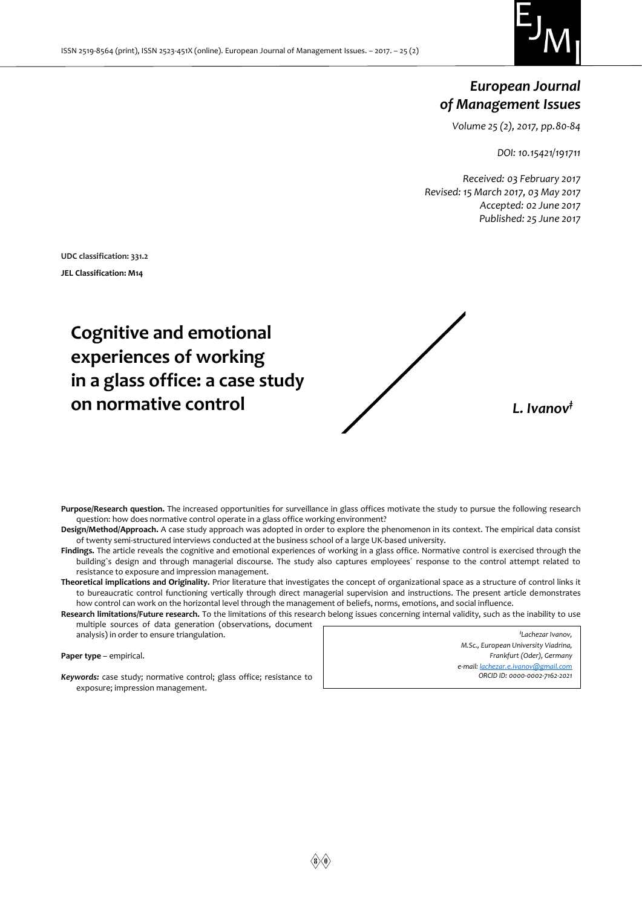

## *European Journal of Management Issues*

*Volume 25 (2), 2017, pp.80-84*

*DOI: 10.15421/191711*

*Received: 03 February 2017 Revised: 15 March 2017, 03 May 2017 Accepted: 02 June 2017 Published: 25 June 2017*

**UDC classification: 331.2 JEL Classification: M14**

# **Cognitive and emotional experiences of working in a glass office: a case study on normative control** *L. Ivanov‡*

**Purpose/Research question.** The increased opportunities for surveillance in glass offices motivate the study to pursue the following research question: how does normative control operate in a glass office working environment?

- **Design/Method/Approach.** A case study approach was adopted in order to explore the phenomenon in its context. The empirical data consist of twenty semi-structured interviews conducted at the business school of a large UK-based university.
- **Findings.** The article reveals the cognitive and emotional experiences of working in a glass office. Normative control is exercised through the building`s design and through managerial discourse. The study also captures employees´ response to the control attempt related to resistance to exposure and impression management.
- **Theoretical implications and Originality.** Prior literature that investigates the concept of organizational space as a structure of control links it to bureaucratic control functioning vertically through direct managerial supervision and instructions. The present article demonstrates how control can work on the horizontal level through the management of beliefs, norms, emotions, and social influence.
- **Research limitations/Future research.** To the limitations of this research belong issues concerning internal validity, such as the inability to use multiple sources of data generation (observations, document

analysis) in order to ensure triangulation.

**Paper type** – empirical.

*‡Lachezar Ivanov, M.Sc., European University Viadrina, Frankfurt (Oder), Germany e-mail[: lachezar.e.ivanov@gmail.com](mailto:lachezar.e.ivanov@gmail.com)*

*Keywords:* case study; normative control; glass office; resistance to exposure; impression management.

*ORCID ID: 0000-0002-7162-2021*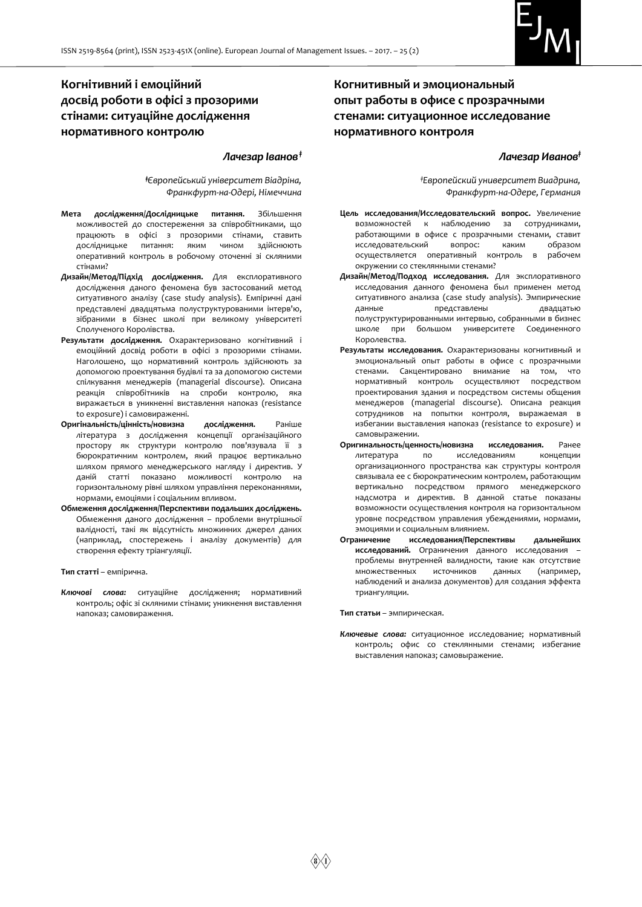

## **Когнітивний і емоційний досвід роботи в офісі з прозорими стінами: ситуаційне дослідження нормативного контролю**

#### *Лачезар Іванов‡*

*‡Європейський університет Віадріна, Франкфурт-на-Одері, Німеччина*

- **Мета дослідження/Дослідницьке питання.** Збільшення можливостей до спостереження за співробітниками, що працюють в офісі з прозорими стінами, ставить дослідницьке питання: яким чином здійснюють оперативний контроль в робочому оточенні зі скляними стінами?
- **Дизайн/Метод/Підхід дослідження.** Для експлоративного дослідження даного феномена був застосований метод ситуативного аналізу (case study analysis). Емпіричні дані представлені двадцятьма полуструктурованими інтерв'ю, зібраними в бізнес школі при великому університеті Сполученого Королівства.
- **Результати дослідження.** Охарактеризовано когнітивний і емоційний досвід роботи в офісі з прозорими стінами. Наголошено, що нормативний контроль здійснюють за допомогою проектування будівлі та за допомогою системи спілкування менеджерів (managerial discourse). Описана реакція співробітників на спроби контролю, яка виражається в уникненні виставлення напоказ (resistance to exposure) і самовираженні.
- **Оригінальність/цінність/новизна дослідження.** Раніше література з дослідження концепції організаційного простору як структури контролю пов'язувала її з бюрократичним контролем, який працює вертикально шляхом прямого менеджерського нагляду і директив. У даній статті показано можливості контролю на горизонтальному рівні шляхом управління переконаннями, нормами, емоціями і соціальним впливом.
- **Обмеження дослідження/Перспективи подальших досліджень.**  Обмеження даного дослідження – проблеми внутрішньої валідності, такі як відсутність множинних джерел даних (наприклад, спостережень і аналізу документів) для створення ефекту тріангуляції.

**Тип статті** – емпірична.

*Ключові слова:* ситуаційне дослідження; нормативний контроль; офіс зі скляними стінами; уникнення виставлення напоказ; самовираження.

### **Когнитивный и эмоциональный опыт работы в офисе с прозрачными стенами: ситуационное исследование нормативного контроля**

#### *Лачезар Иванов‡*

*‡Европейский университет Виадрина, Франкфурт-на-Одере, Германия*

- **Цель исследования/Исследовательский вопрос.** Увеличение возможностей к наблюдению за сотрудниками, работающими в офисе с прозрачными стенами, ставит исследовательский вопрос: каким образом осуществляется оперативный контроль в рабочем окружении со стеклянными стенами?
- **Дизайн/Метод/Подход исследования.** Для эксплоративного исследования данного феномена был применен метод ситуативного анализа (case study analysis). Эмпирические данные представлены двадцатью полуструктурированными интервью, собранными в бизнес школе при большом университете Соединенного Королевства.
- **Результаты исследования.** Охарактеризованы когнитивный и эмоциональный опыт работы в офисе с прозрачными стенами. Сакцентировано внимание на том, что нормативный контроль осуществляют посредством проектирования здания и посредством системы общения менеджеров (managerial discourse). Описана реакция сотрудников на попытки контроля, выражаемая в избегании выставления напоказ (resistance to exposure) и самовыражении.
- **Оригинальность/ценность/новизна исследования.** Ранее литература по исследованиям концепции организационного пространства как структуры контроля связывала ее с бюрократическим контролем, работающим вертикально посредством прямого менеджерского надсмотра и директив. В данной статье показаны возможности осуществления контроля на горизонтальном уровне посредством управления убеждениями, нормами, эмоциями и социальным влиянием.
- **Ограничение исследования/Перспективы дальнейших исследований.** Ограничения данного исследования – проблемы внутренней валидности, такие как отсутствие множественных источников данных (например, наблюдений и анализа документов) для создания эффекта триангуляции.

**Тип статьи** – эмпирическая.

*Ключевые слова:* ситуационное исследование; нормативный контроль; офис со стеклянными стенами; избегание выставления напоказ; самовыражение.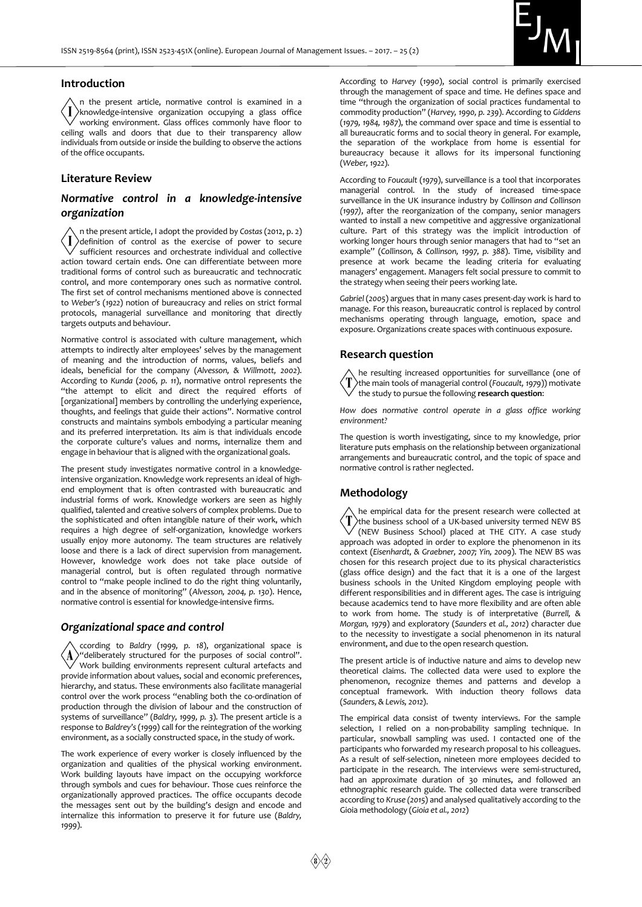

#### **Introduction**

n the present article, normative control is examined in a  $\langle \, I \, \rangle$ knowledge-intensive organization occupying a glass office working environment. Glass offices commonly have floor to ceiling walls and doors that due to their transparency allow individuals from outside or inside the building to observe the actions of the office occupants.

#### **Literature Review**

#### *Normative control in a knowledge-intensive organization*

n the present article, I adopt the provided by *Costas* (2012, p. 2)  $\overline{\mathbf{I}}$ definition of control as the exercise of power to secure sufficient resources and orchestrate individual and collective action toward certain ends. One can differentiate between more traditional forms of control such as bureaucratic and technocratic control, and more contemporary ones such as normative control. The first set of control mechanisms mentioned above is connected to *Weber's* (*1922*) notion of bureaucracy and relies on strict formal protocols, managerial surveillance and monitoring that directly targets outputs and behaviour.

Normative control is associated with culture management, which attempts to indirectly alter employees' selves by the management of meaning and the introduction of norms, values, beliefs and ideals, beneficial for the company (*Alvesson, & Willmott, 2002*). According to *Kunda* (*2006, p. 11*), normative ontrol represents the "the attempt to elicit and direct the required efforts of [organizational] members by controlling the underlying experience, thoughts, and feelings that guide their actions". Normative control constructs and maintains symbols embodying a particular meaning and its preferred interpretation. Its aim is that individuals encode the corporate culture's values and norms, internalize them and engage in behaviour that is aligned with the organizational goals.

The present study investigates normative control in a knowledgeintensive organization. Knowledge work represents an ideal of highend employment that is often contrasted with bureaucratic and industrial forms of work. Knowledge workers are seen as highly qualified, talented and creative solvers of complex problems. Due to the sophisticated and often intangible nature of their work, which requires a high degree of self-organization, knowledge workers usually enjoy more autonomy. The team structures are relatively loose and there is a lack of direct supervision from management. However, knowledge work does not take place outside of managerial control, but is often regulated through normative control to "make people inclined to do the right thing voluntarily, and in the absence of monitoring" (*Alvesson, 2004, p. 130*). Hence, normative control is essential for knowledge-intensive firms.

#### *Organizational space and control*

ccording to *Baldry* (*1999, p. 18*), organizational space is  $\Lambda$ "deliberately structured for the purposes of social control". Work building environments represent cultural artefacts and provide information about values, social and economic preferences, hierarchy, and status. These environments also facilitate managerial control over the work process "enabling both the co-ordination of production through the division of labour and the construction of systems of surveillance" (*Baldry, 1999, p. 3*). The present article is a response to *Baldrey's* (*1999*) call for the reintegration of the working environment, as a socially constructed space, in the study of work.

The work experience of every worker is closely influenced by the organization and qualities of the physical working environment. Work building layouts have impact on the occupying workforce through symbols and cues for behaviour. Those cues reinforce the organizationally approved practices. The office occupants decode the messages sent out by the building's design and encode and internalize this information to preserve it for future use (*Baldry, 1999*).

According to *Harvey* (*1990*), social control is primarily exercised through the management of space and time. He defines space and time "through the organization of social practices fundamental to commodity production" (*Harvey, 1990, p. 239*). According to *Giddens* (*1979, 1984, 1987*), the command over space and time is essential to all bureaucratic forms and to social theory in general. For example, the separation of the workplace from home is essential for bureaucracy because it allows for its impersonal functioning (*Weber, 1922*).

According to *Foucault* (*1979*), surveillance is a tool that incorporates managerial control. In the study of increased time-space surveillance in the UK insurance industry by *Collinson and Collinson (1997)*, after the reorganization of the company, senior managers wanted to install a new competitive and aggressive organizational culture. Part of this strategy was the implicit introduction of working longer hours through senior managers that had to "set an example" (*Collinson, & Collinson, 1997, p. 388*). Time, visibility and presence at work became the leading criteria for evaluating managers' engagement. Managers felt social pressure to commit to the strategy when seeing their peers working late.

*Gabriel* (*2005*) argues that in many cases present-day work is hard to manage. For this reason, bureaucratic control is replaced by control mechanisms operating through language, emotion, space and exposure. Organizations create spaces with continuous exposure.

#### **Research question**

he resulting increased opportunities for surveillance (one of the main tools of managerial control (*Foucault, 1979*)) motivate the study to pursue the following **research question**:

*How does normative control operate in a glass office working environment?*

The question is worth investigating, since to my knowledge, prior literature puts emphasis on the relationship between organizational arrangements and bureaucratic control, and the topic of space and normative control is rather neglected.

#### **Methodology**

he empirical data for the present research were collected at the business school of a UK-based university termed NEW BS (NEW Business School) placed at THE CITY. A case study approach was adopted in order to explore the phenomenon in its context (*Eisenhardt, & Graebner, 2007; Yin, 2009*). The NEW BS was chosen for this research project due to its physical characteristics (glass office design) and the fact that it is a one of the largest business schools in the United Kingdom employing people with different responsibilities and in different ages. The case is intriguing because academics tend to have more flexibility and are often able to work from home. The study is of interpretative (*Burrell, & Morgan, 1979*) and exploratory (*Saunders et al., 2012*) character due to the necessity to investigate a social phenomenon in its natural environment, and due to the open research question.

The present article is of inductive nature and aims to develop new theoretical claims. The collected data were used to explore the phenomenon, recognize themes and patterns and develop a conceptual framework. With induction theory follows data (*Saunders, & Lewis, 2012*).

The empirical data consist of twenty interviews. For the sample selection, I relied on a non-probability sampling technique. In particular, snowball sampling was used. I contacted one of the participants who forwarded my research proposal to his colleagues. As a result of self-selection, nineteen more employees decided to participate in the research. The interviews were semi-structured, had an approximate duration of 30 minutes, and followed an ethnographic research guide. The collected data were transcribed according to *Kruse (2015*) and analysed qualitatively according to the Gioia methodology (*Gioia et al., 2012*)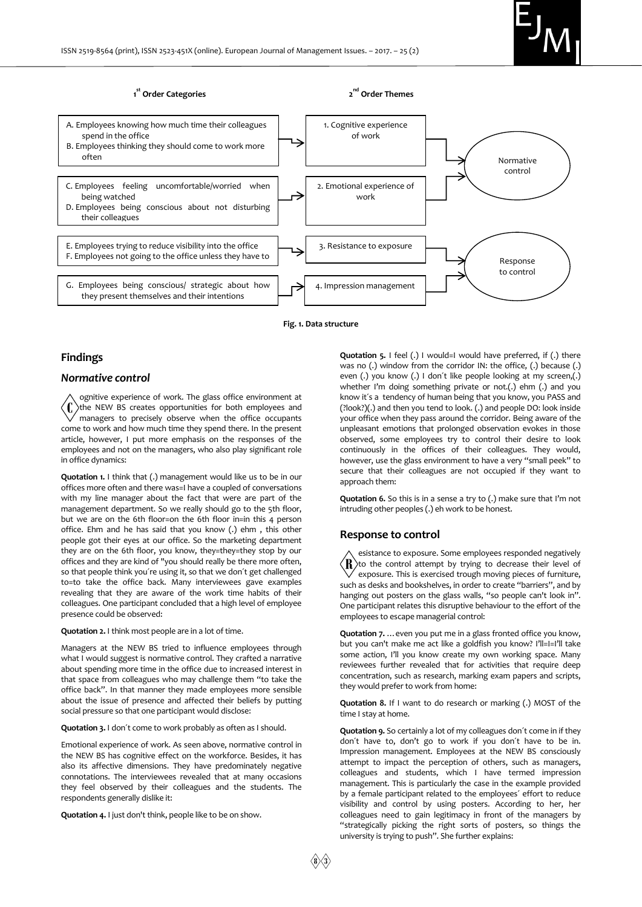

**Fig. 1. Data structure**

#### **Findings**

#### *Normative control*

ognitive experience of work. The glass office environment at  $\langle \int \rangle$ the NEW BS creates opportunities for both employees and managers to precisely observe when the office occupants come to work and how much time they spend there. In the present article, however, I put more emphasis on the responses of the employees and not on the managers, who also play significant role in office dynamics:

**Quotation 1.** I think that (.) management would like us to be in our offices more often and there was=I have a coupled of conversations with my line manager about the fact that were are part of the management department. So we really should go to the 5th floor, but we are on the 6th floor=on the 6th floor in=in this 4 person office. Ehm and he has said that you know (.) ehm , this other people got their eyes at our office. So the marketing department they are on the 6th floor, you know, they=they=they stop by our offices and they are kind of "you should really be there more often, so that people think you´re using it, so that we don´t get challenged to=to take the office back. Many interviewees gave examples revealing that they are aware of the work time habits of their colleagues. One participant concluded that a high level of employee presence could be observed:

**Quotation 2.** I think most people are in a lot of time.

Managers at the NEW BS tried to influence employees through what I would suggest is normative control. They crafted a narrative about spending more time in the office due to increased interest in that space from colleagues who may challenge them "to take the office back". In that manner they made employees more sensible about the issue of presence and affected their beliefs by putting social pressure so that one participant would disclose:

**Quotation 3.** I don´t come to work probably as often as I should.

Emotional experience of work. As seen above, normative control in the NEW BS has cognitive effect on the workforce. Besides, it has also its affective dimensions. They have predominately negative connotations. The interviewees revealed that at many occasions they feel observed by their colleagues and the students. The respondents generally dislike it:

**Quotation 4.** I just don't think, people like to be on show.

**Quotation 5.** I feel (.) I would=I would have preferred, if (.) there was no (.) window from the corridor IN: the office, (.) because (.) even (.) you know (.) I don't like people looking at my screen,(.) whether I'm doing something private or not.(.) ehm (.) and you know it´s a tendency of human being that you know, you PASS and (?look?)(.) and then you tend to look. (.) and people DO: look inside your office when they pass around the corridor. Being aware of the unpleasant emotions that prolonged observation evokes in those observed, some employees try to control their desire to look continuously in the offices of their colleagues. They would, however, use the glass environment to have a very "small peek" to secure that their colleagues are not occupied if they want to approach them:

**Quotation 6.** So this is in a sense a try to (.) make sure that I'm not intruding other peoples (.) eh work to be honest.

#### **Response to control**

esistance to exposure. Some employees responded negatively  $\langle \mathbf{R} \rangle$ to the control attempt by trying to decrease their level of exposure. This is exercised trough moving pieces of furniture, such as desks and bookshelves, in order to create "barriers", and by hanging out posters on the glass walls, "so people can't look in". One participant relates this disruptive behaviour to the effort of the employees to escape managerial control:

**Quotation 7.** …even you put me in a glass fronted office you know, but you can't make me act like a goldfish you know? I'll=I=I'll take some action, I'll you know create my own working space. Many reviewees further revealed that for activities that require deep concentration, such as research, marking exam papers and scripts, they would prefer to work from home:

**Quotation 8.** If I want to do research or marking (.) MOST of the time I stay at home.

**Quotation 9.** So certainly a lot of my colleagues don´t come in if they don´t have to, don't go to work if you don´t have to be in. Impression management. Employees at the NEW BS consciously attempt to impact the perception of others, such as managers, colleagues and students, which I have termed impression management. This is particularly the case in the example provided by a female participant related to the employees´ effort to reduce visibility and control by using posters. According to her, her colleagues need to gain legitimacy in front of the managers by "strategically picking the right sorts of posters, so things the university is trying to push". She further explains: